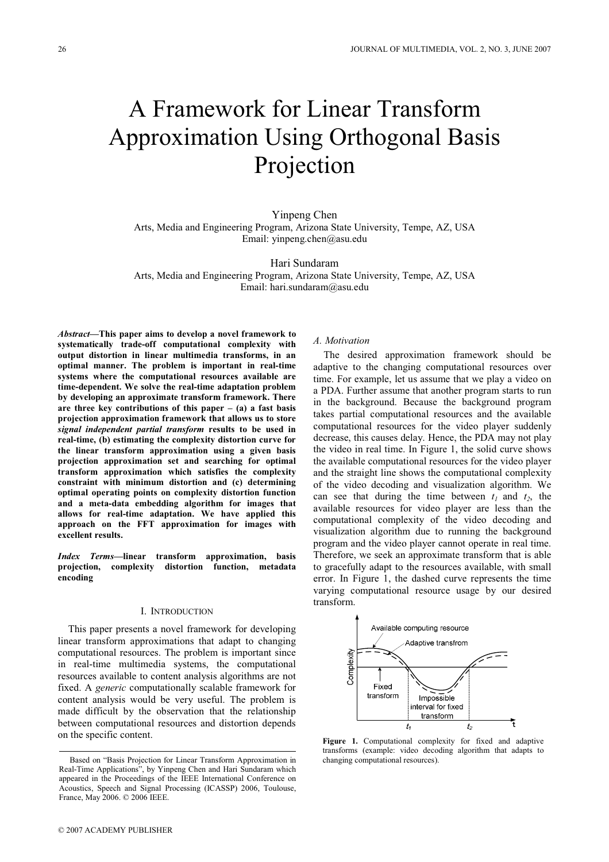# A Framework for Linear Transform Approximation Using Orthogonal Basis Projection

Yinpeng Chen Arts, Media and Engineering Program, Arizona State University, Tempe, AZ, USA Email: yinpeng.chen@asu.edu

Hari Sundaram Arts, Media and Engineering Program, Arizona State University, Tempe, AZ, USA Email: hari.sundaram@asu.edu

Abstract—This paper aims to develop a novel framework to systematically trade-off computational complexity with output distortion in linear multimedia transforms, in an optimal manner. The problem is important in real-time systems where the computational resources available are time-dependent. We solve the real-time adaptation problem by developing an approximate transform framework. There are three key contributions of this paper  $-$  (a) a fast basis projection approximation framework that allows us to store signal independent partial transform results to be used in real-time, (b) estimating the complexity distortion curve for the linear transform approximation using a given basis projection approximation set and searching for optimal transform approximation which satisfies the complexity constraint with minimum distortion and (c) determining optimal operating points on complexity distortion function and a meta-data embedding algorithm for images that allows for real-time adaptation. We have applied this approach on the FFT approximation for images with excellent results.

Index Terms—linear transform approximation, basis projection, complexity distortion function, metadata encoding

# I. INTRODUCTION

This paper presents a novel framework for developing linear transform approximations that adapt to changing computational resources. The problem is important since in real-time multimedia systems, the computational resources available to content analysis algorithms are not fixed. A generic computationally scalable framework for content analysis would be very useful. The problem is made difficult by the observation that the relationship between computational resources and distortion depends on the specific content.

A. Motivation

The desired approximation framework should be adaptive to the changing computational resources over time. For example, let us assume that we play a video on a PDA. Further assume that another program starts to run in the background. Because the background program takes partial computational resources and the available computational resources for the video player suddenly decrease, this causes delay. Hence, the PDA may not play the video in real time. In Figure 1, the solid curve shows the available computational resources for the video player and the straight line shows the computational complexity of the video decoding and visualization algorithm. We can see that during the time between  $t_1$  and  $t_2$ , the available resources for video player are less than the computational complexity of the video decoding and visualization algorithm due to running the background program and the video player cannot operate in real time. Therefore, we seek an approximate transform that is able to gracefully adapt to the resources available, with small error. In Figure 1, the dashed curve represents the time varying computational resource usage by our desired transform.



Figure 1. Computational complexity for fixed and adaptive transforms (example: video decoding algorithm that adapts to

Based on "Basis Projection for Linear Transform Approximation in Real-Time Applications", by Yinpeng Chen and Hari Sundaram which appeared in the Proceedings of the IEEE International Conference on Acoustics, Speech and Signal Processing (ICASSP) 2006, Toulouse, France, May 2006. © 2006 IEEE.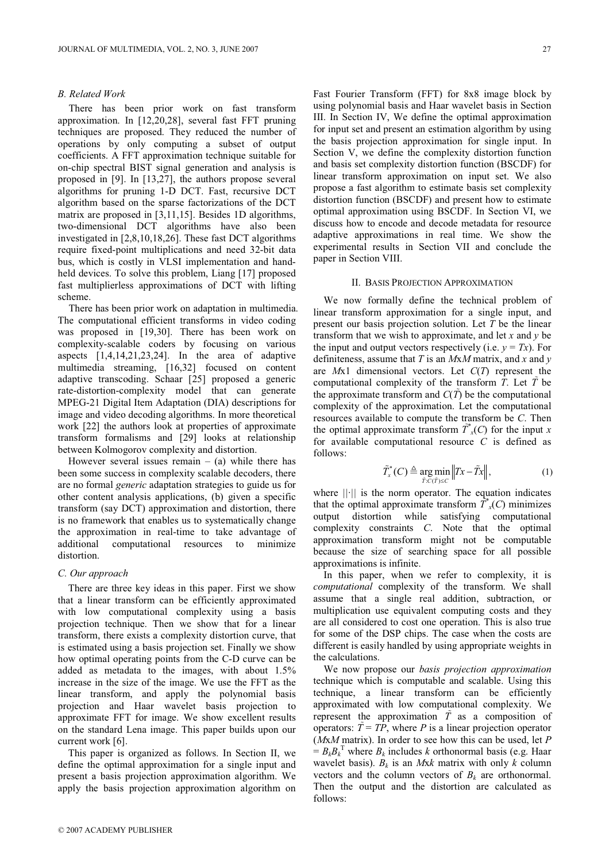# B. Related Work

There has been prior work on fast transform approximation. In [12,20,28], several fast FFT pruning techniques are proposed. They reduced the number of operations by only computing a subset of output coefficients. A FFT approximation technique suitable for on-chip spectral BIST signal generation and analysis is proposed in [9]. In [13,27], the authors propose several algorithms for pruning 1-D DCT. Fast, recursive DCT algorithm based on the sparse factorizations of the DCT matrix are proposed in [3,11,15]. Besides 1D algorithms, two-dimensional DCT algorithms have also been investigated in [2,8,10,18,26]. These fast DCT algorithms require fixed-point multiplications and need 32-bit data bus, which is costly in VLSI implementation and handheld devices. To solve this problem, Liang [17] proposed fast multiplierless approximations of DCT with lifting scheme.

There has been prior work on adaptation in multimedia. The computational efficient transforms in video coding was proposed in [19,30]. There has been work on complexity-scalable coders by focusing on various aspects  $[1,4,14,21,23,24]$ . In the area of adaptive multimedia streaming, [16,32] focused on content adaptive transcoding. Schaar [25] proposed a generic rate-distortion-complexity model that can generate MPEG-21 Digital Item Adaptation (DIA) descriptions for image and video decoding algorithms. In more theoretical work [22] the authors look at properties of approximate transform formalisms and [29] looks at relationship between Kolmogorov complexity and distortion.

However several issues remain  $-$  (a) while there has been some success in complexity scalable decoders, there are no formal generic adaptation strategies to guide us for other content analysis applications, (b) given a specific transform (say DCT) approximation and distortion, there is no framework that enables us to systematically change the approximation in real-time to take advantage of additional computational resources to minimize distortion.

#### C. Our approach

There are three key ideas in this paper. First we show that a linear transform can be efficiently approximated with low computational complexity using a basis projection technique. Then we show that for a linear transform, there exists a complexity distortion curve, that is estimated using a basis projection set. Finally we show how optimal operating points from the C-D curve can be added as metadata to the images, with about 1.5% increase in the size of the image. We use the FFT as the linear transform, and apply the polynomial basis projection and Haar wavelet basis projection to approximate FFT for image. We show excellent results on the standard Lena image. This paper builds upon our current work [6].

This paper is organized as follows. In Section II, we define the optimal approximation for a single input and present a basis projection approximation algorithm. We apply the basis projection approximation algorithm on Fast Fourier Transform (FFT) for 8x8 image block by using polynomial basis and Haar wavelet basis in Section III. In Section IV, We define the optimal approximation for input set and present an estimation algorithm by using the basis projection approximation for single input. In Section V, we define the complexity distortion function and basis set complexity distortion function (BSCDF) for linear transform approximation on input set. We also propose a fast algorithm to estimate basis set complexity distortion function (BSCDF) and present how to estimate optimal approximation using BSCDF. In Section VI, we discuss how to encode and decode metadata for resource adaptive approximations in real time. We show the experimental results in Section VII and conclude the paper in Section VIII.

#### II. BASIS PROJECTION APPROXIMATION

We now formally define the technical problem of linear transform approximation for a single input, and present our basis projection solution. Let T be the linear transform that we wish to approximate, and let x and  $y$  be the input and output vectors respectively (i.e.  $y = Tx$ ). For definiteness, assume that T is an  $MxM$  matrix, and x and y are  $Mx1$  dimensional vectors. Let  $C(T)$  represent the computational complexity of the transform T. Let  $\overline{T}$  be the approximate transform and  $C(\tilde{T})$  be the computational complexity of the approximation. Let the computational resources available to compute the transform be C. Then the optimal approximate transform  $\tilde{T}_{x}(C)$  for the input x for available computational resource  $C$  is defined as follows:

$$
\tilde{T}_x^*(C) \triangleq \underset{\tilde{T}:C(\tilde{T}) \leq C}{\arg \min} \|Tx - \tilde{T}x\|, \tag{1}
$$

where ||·|| is the norm operator. The equation indicates that the optimal approximate transform  $\tilde{T}^*_{x}(C)$  minimizes output distortion while satisfying computational complexity constraints C. Note that the optimal approximation transform might not be computable because the size of searching space for all possible approximations is infinite.

In this paper, when we refer to complexity, it is computational complexity of the transform. We shall assume that a single real addition, subtraction, or multiplication use equivalent computing costs and they are all considered to cost one operation. This is also true for some of the DSP chips. The case when the costs are different is easily handled by using appropriate weights in the calculations.

We now propose our *basis projection approximation* technique which is computable and scalable. Using this technique, a linear transform can be efficiently approximated with low computational complexity. We represent the approximation  $\tilde{T}$  as a composition of operators:  $\tilde{T} = TP$ , where P is a linear projection operator  $(MxM \text{ matrix})$ . In order to see how this can be used, let P  $= B_k B_k^{\mathrm{T}}$  where  $B_k$  includes k orthonormal basis (e.g. Haar wavelet basis).  $B_k$  is an *Mxk* matrix with only k column vectors and the column vectors of  $B_k$  are orthonormal. Then the output and the distortion are calculated as follows: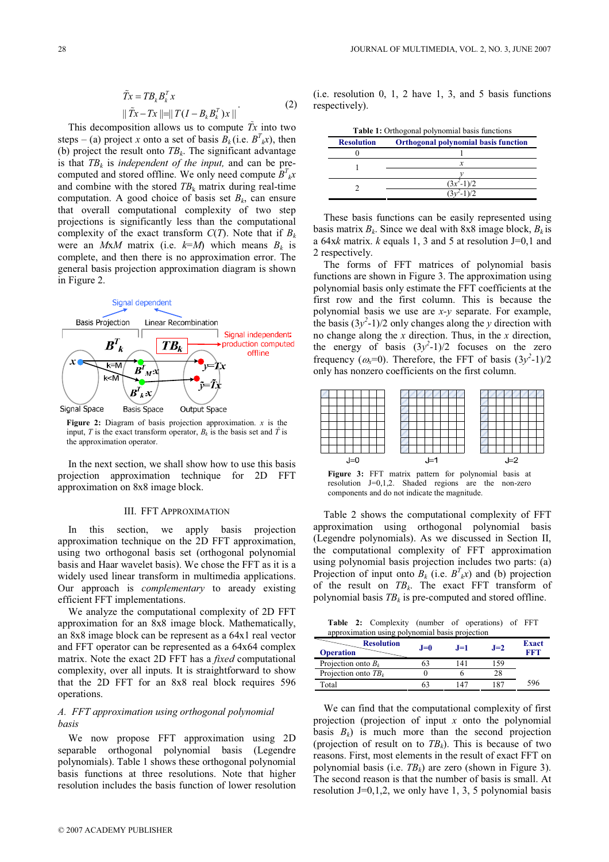$$
\tilde{T}x = TB_k B_k^T x
$$
  
 
$$
\|\tilde{T}x - Tx\| = \|T(I - B_k B_k^T)x\|
$$
 (2)

This decomposition allows us to compute  $Tx$  into two steps – (a) project x onto a set of basis  $B_k$  (i.e.  $B^T_k x$ ), then (b) project the result onto  $TB_k$ . The significant advantage is that  $TB_k$  is independent of the input, and can be precomputed and stored offline. We only need compute  $B^T{}_{k}x$ and combine with the stored  $TB_k$  matrix during real-time computation. A good choice of basis set  $B_k$ , can ensure that overall computational complexity of two step projections is significantly less than the computational complexity of the exact transform  $C(T)$ . Note that if  $B_k$ were an MxM matrix (i.e.  $k=M$ ) which means  $B_k$  is complete, and then there is no approximation error. The general basis projection approximation diagram is shown in Figure 2.



Figure 2: Diagram of basis projection approximation.  $x$  is the input, T is the exact transform operator,  $B_k$  is the basis set and T is the approximation operator.

In the next section, we shall show how to use this basis projection approximation technique for 2D FFT approximation on 8x8 image block.

# III. FFT APPROXIMATION

In this section, we apply basis projection approximation technique on the 2D FFT approximation, using two orthogonal basis set (orthogonal polynomial basis and Haar wavelet basis). We chose the FFT as it is a widely used linear transform in multimedia applications. Our approach is complementary to aready existing efficient FFT implementations.

We analyze the computational complexity of 2D FFT approximation for an 8x8 image block. Mathematically, an 8x8 image block can be represent as a 64x1 real vector and FFT operator can be represented as a 64x64 complex matrix. Note the exact 2D FFT has a fixed computational complexity, over all inputs. It is straightforward to show that the 2D FFT for an 8x8 real block requires 596 operations.

# A. FFT approximation using orthogonal polynomial basis

We now propose FFT approximation using 2D separable orthogonal polynomial basis (Legendre polynomials). Table 1 shows these orthogonal polynomial basis functions at three resolutions. Note that higher resolution includes the basis function of lower resolution (i.e. resolution 0, 1, 2 have 1, 3, and 5 basis functions respectively).

| Table 1: Orthogonal polynomial basis functions |                                             |  |  |  |
|------------------------------------------------|---------------------------------------------|--|--|--|
| <b>Resolution</b>                              | <b>Orthogonal polynomial basis function</b> |  |  |  |
|                                                |                                             |  |  |  |
|                                                |                                             |  |  |  |
|                                                |                                             |  |  |  |
|                                                | $(3x^2-1)/2$                                |  |  |  |
|                                                |                                             |  |  |  |
|                                                |                                             |  |  |  |

These basis functions can be easily represented using basis matrix  $B_k$ . Since we deal with 8x8 image block,  $B_k$  is a 64xk matrix.  $k$  equals 1, 3 and 5 at resolution J=0,1 and 2 respectively.

The forms of FFT matrices of polynomial basis functions are shown in Figure 3. The approximation using polynomial basis only estimate the FFT coefficients at the first row and the first column. This is because the polynomial basis we use are  $x-y$  separate. For example, the basis  $(3y^2-1)/2$  only changes along the y direction with no change along the  $x$  direction. Thus, in the  $x$  direction, the energy of basis  $(3y^2-1)/2$  focuses on the zero frequency ( $\omega_x=0$ ). Therefore, the FFT of basis  $(3y^2-1)/2$ only has nonzero coefficients on the first column.



Figure 3: FFT matrix pattern for polynomial basis at resolution J=0,1,2. Shaded regions are the non-zero components and do not indicate the magnitude.

Table 2 shows the computational complexity of FFT approximation using orthogonal polynomial basis (Legendre polynomials). As we discussed in Section II, the computational complexity of FFT approximation using polynomial basis projection includes two parts: (a) Projection of input onto  $B_k$  (i.e.  $B^T_k(x)$ ) and (b) projection of the result on  $TB_k$ . The exact FFT transform of polynomial basis  $TB_k$  is pre-computed and stored offline.

Table 2: Complexity (number of operations) of FFT approximation using polynomial basis projection

| <b>Resolution</b><br><b>Operation</b> | $J=0$ | $J=1$ | $J=2$ | <b>Exact</b><br>RRT |
|---------------------------------------|-------|-------|-------|---------------------|
| Projection onto $B_k$                 |       | 14.   | 159   |                     |
| Projection onto $TB_k$                |       |       | 28    |                     |
| Total                                 |       |       | 187   | 596                 |

We can find that the computational complexity of first projection (projection of input  $x$  onto the polynomial basis  $B_k$ ) is much more than the second projection (projection of result on to  $TB_k$ ). This is because of two reasons. First, most elements in the result of exact FFT on polynomial basis (i.e.  $TB_k$ ) are zero (shown in Figure 3). The second reason is that the number of basis is small. At resolution  $J=0,1,2$ , we only have 1, 3, 5 polynomial basis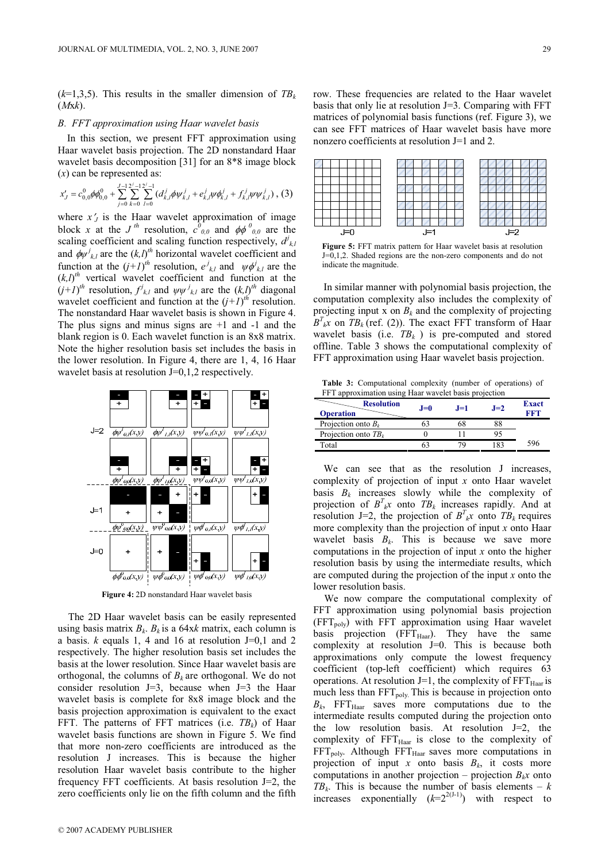$(k=1,3,5)$ . This results in the smaller dimension of  $TB_k$  $(Mxk)$ .

# B. FFT approximation using Haar wavelet basis

In this section, we present FFT approximation using Haar wavelet basis projection. The 2D nonstandard Haar wavelet basis decomposition [31] for an 8\*8 image block  $(x)$  can be represented as:

$$
x'_{J} = c_{0,0}^{0} \phi \phi_{0,0}^{0} + \sum_{j=0}^{J-1} \sum_{k=0}^{2^{j}-1} \sum_{l=0}^{2^{j}-1} (d_{k,l}^{j} \phi \psi_{k,l}^{j} + e_{k,l}^{j} \psi \phi_{k,l}^{j} + f_{k,l}^{j} \psi \psi_{k,l}^{j}), (3)
$$

where  $x'$  is the Haar wavelet approximation of image block x at the J<sup>th</sup> resolution,  $c^0_{0,0}$  and  $\phi\phi^0_{0,0}$  are the scaling coefficient and scaling function respectively,  $d^j_{kl}$ and  $\phi \psi_{k,l}^j$  are the  $(k,l)^{th}$  horizontal wavelet coefficient and function at the  $(j+1)^{th}$  resolution,  $e^{j}_{k,l}$  and  $\psi \phi^{j}_{k,l}$  are the  $(k,l)^{th}$  vertical wavelet coefficient and function at the  $(j+1)^{th}$  resolution,  $f_{k,l}^{j}$  and  $\psi \psi_{k,l}^{j}$  are the  $(k,l)^{th}$  diagonal wavelet coefficient and function at the  $(j+1)^{th}$  resolution. The nonstandard Haar wavelet basis is shown in Figure 4. The plus signs and minus signs are  $+1$  and  $-1$  and the blank region is 0. Each wavelet function is an 8x8 matrix. Note the higher resolution basis set includes the basis in the lower resolution. In Figure 4, there are 1, 4, 16 Haar wavelet basis at resolution J=0,1,2 respectively.



Figure 4: 2D nonstandard Haar wavelet basis

The 2D Haar wavelet basis can be easily represented using basis matrix  $B_k$ .  $B_k$  is a 64xk matrix, each column is a basis.  $k$  equals 1, 4 and 16 at resolution J=0,1 and 2 respectively. The higher resolution basis set includes the basis at the lower resolution. Since Haar wavelet basis are orthogonal, the columns of  $B_k$  are orthogonal. We do not consider resolution J=3, because when J=3 the Haar wavelet basis is complete for 8x8 image block and the basis projection approximation is equivalent to the exact FFT. The patterns of FFT matrices (i.e.  $TB_k$ ) of Haar wavelet basis functions are shown in Figure 5. We find that more non-zero coefficients are introduced as the resolution J increases. This is because the higher resolution Haar wavelet basis contribute to the higher frequency FFT coefficients. At basis resolution J=2, the zero coefficients only lie on the fifth column and the fifth row. These frequencies are related to the Haar wavelet basis that only lie at resolution J=3. Comparing with FFT matrices of polynomial basis functions (ref. Figure 3), we can see FFT matrices of Haar wavelet basis have more nonzero coefficients at resolution J=1 and 2.



Figure 5: FFT matrix pattern for Haar wavelet basis at resolution J=0,1,2. Shaded regions are the non-zero components and do not indicate the magnitude.

In similar manner with polynomial basis projection, the computation complexity also includes the complexity of projecting input x on  $B_k$  and the complexity of projecting  $B^{T}_{k}$  on  $TB_{k}$  (ref. (2)). The exact FFT transform of Haar wavelet basis (i.e.  $TB_k$ ) is pre-computed and stored offline. Table 3 shows the computational complexity of FFT approximation using Haar wavelet basis projection.

Table 3: Computational complexity (number of operations) of FFT approximation using Haar wavelet basis projection

| <b>Resolution</b><br><b>Operation</b> | $J=0$ | $J=1$ | $J=2$ | <b>Exact</b><br>FFT |
|---------------------------------------|-------|-------|-------|---------------------|
| Projection onto $B_k$                 |       |       |       |                     |
| Projection onto $TB_k$                |       |       |       |                     |
| Total                                 |       | 70    | 183   | 596                 |
|                                       |       |       |       |                     |

We can see that as the resolution J increases, complexity of projection of input x onto Haar wavelet basis  $B_k$  increases slowly while the complexity of projection of  $B^T{}_{k}x$  onto  $TB_k$  increases rapidly. And at resolution J=2, the projection of  $B^{T}_{k}x$  onto  $TB_{k}$  requires more complexity than the projection of input x onto Haar wavelet basis  $B_k$ . This is because we save more computations in the projection of input  $x$  onto the higher resolution basis by using the intermediate results, which are computed during the projection of the input  $x$  onto the lower resolution basis.

We now compare the computational complexity of FFT approximation using polynomial basis projection  $(FFT_{poly})$  with FFT approximation using Haar wavelet basis projection  $(FFT_{Haar})$ . They have the same complexity at resolution J=0. This is because both approximations only compute the lowest frequency coefficient (top-left coefficient) which requires 63 operations. At resolution J=1, the complexity of  $FFT_{Haar}$  is much less than  $FFT_{poly}$ . This is because in projection onto  $B_k$ , FFT<sub>Haar</sub> saves more computations due to the intermediate results computed during the projection onto the low resolution basis. At resolution J=2, the complexity of  $FFT_{Haar}$  is close to the complexity of  $FFT_{poly.}$  Although  $FFT_{Haar}$  saves more computations in projection of input x onto basis  $B_k$ , it costs more computations in another projection – projection  $B_kx$  onto  $TB_k$ . This is because the number of basis elements – k increases exponentially  $(k=2^{2(J-1)})$  with respect to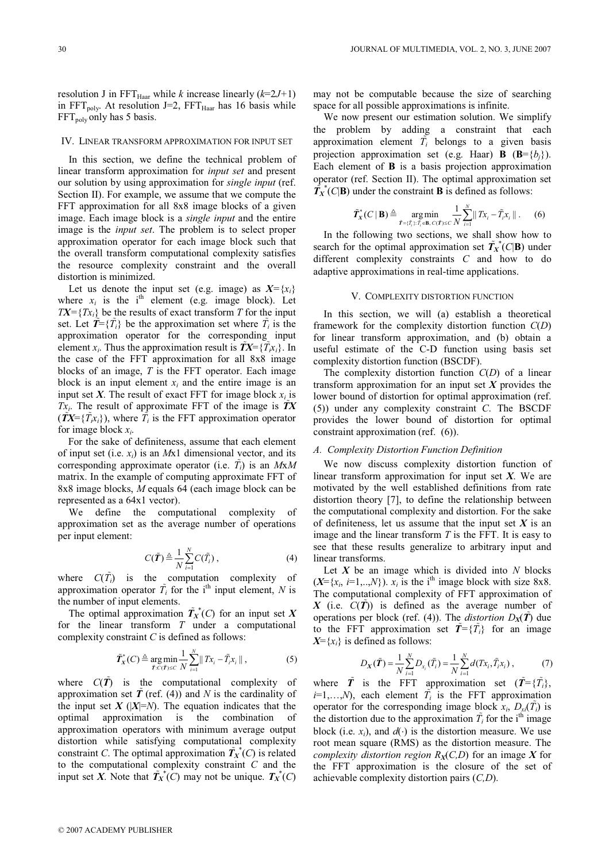resolution J in FFT $_{\text{Haar}}$  while k increase linearly (k=2J+1) in  $FFT_{poly}$ . At resolution J=2,  $FFT_{Haar}$  has 16 basis while  $FFT<sub>poly</sub>$  only has 5 basis.

#### IV. LINEAR TRANSFORM APPROXIMATION FOR INPUT SET

In this section, we define the technical problem of linear transform approximation for input set and present our solution by using approximation for single input (ref. Section II). For example, we assume that we compute the FFT approximation for all 8x8 image blocks of a given image. Each image block is a single input and the entire image is the input set. The problem is to select proper approximation operator for each image block such that the overall transform computational complexity satisfies the resource complexity constraint and the overall distortion is minimized.

Let us denote the input set (e.g. image) as  $X = \{x_i\}$ where  $x_i$  is the i<sup>th</sup> element (e.g. image block). Let  $TX = \{Tx_i\}$  be the results of exact transform T for the input set. Let  $\tilde{T} = \{\tilde{T}_i\}$  be the approximation set where  $\tilde{T}_i$  is the approximation operator for the corresponding input element x<sub>i</sub>. Thus the approximation result is  $\tilde{T}X=\{\tilde{T}x_i\}$ . In the case of the FFT approximation for all 8x8 image blocks of an image,  $T$  is the FFT operator. Each image block is an input element  $x_i$  and the entire image is an input set X. The result of exact FFT for image block  $x_i$  is  $Tx_i$ . The result of approximate FFT of the image is  $TX$  $(\tilde{T}X=\{\tilde{T}_{i}\tilde{x}_{i}\})$ , where  $\tilde{T}_{i}$  is the FFT approximation operator for image block  $x_i$ .

For the sake of definiteness, assume that each element of input set (i.e.  $x_i$ ) is an Mx1 dimensional vector, and its corresponding approximate operator (i.e.  $\tilde{T}_i$ ) is an  $MxM$ matrix. In the example of computing approximate FFT of 8x8 image blocks, M equals 64 (each image block can be represented as a 64x1 vector).

We define the computational complexity of approximation set as the average number of operations per input element:

$$
C(\tilde{\boldsymbol{T}}) \triangleq \frac{1}{N} \sum_{i=1}^{N} C(\tilde{T}_i), \qquad (4)
$$

where  $C(\tilde{T})$  is the computation complexity of approximation operator  $\tilde{T}_i$  for the i<sup>th</sup> input element, N is the number of input elements.

The optimal approximation  $\tilde{T}_{X}^{*}(C)$  for an input set X for the linear transform  $T$  under a computational complexity constraint C is defined as follows:

$$
\tilde{T}_X^*(C) \triangleq \underset{\tilde{T}:C(\tilde{T})\leq C}{\arg \min} \frac{1}{N} \sum_{i=1}^N ||Tx_i - \tilde{T}_i x_i||, \qquad (5)
$$

where  $C(\tilde{T})$  is the computational complexity of approximation set  $\tilde{T}$  (ref. (4)) and N is the cardinality of the input set  $X$  ( $|X|=N$ ). The equation indicates that the optimal approximation is the combination of approximation operators with minimum average output distortion while satisfying computational complexity constraint C. The optimal approximation  $\tilde{T}_X^*(C)$  is related to the computational complexity constraint C and the input set X. Note that  $\tilde{T}_X^*(C)$  may not be unique.  $T_X^*(C)$ 

may not be computable because the size of searching space for all possible approximations is infinite.

We now present our estimation solution. We simplify the problem by adding a constraint that each approximation element  $\tilde{T}_i$  belongs to a given basis projection approximation set (e.g. Haar) **B** ( $\mathbf{B} = \{b_i\}$ ). Each element of B is a basis projection approximation operator (ref. Section II). The optimal approximation set  $\tilde{T}_X^*(C|\mathbf{B})$  under the constraint **B** is defined as follows:

$$
\tilde{T}_X^*(C \mid \mathbf{B}) \triangleq \underset{\tilde{T} = (\tilde{T}_i): \tilde{T}_i \in \mathbf{B}, C(\tilde{T}) \le C}{\arg \min} \frac{1}{N} \sum_{i=1}^N ||Tx_i - \tilde{T}_i x_i||. \tag{6}
$$

In the following two sections, we shall show how to search for the optimal approximation set  $\tilde{T}_{X}^{*}(C|\mathbf{B})$  under different complexity constraints C and how to do adaptive approximations in real-time applications.

# V. COMPLEXITY DISTORTION FUNCTION

In this section, we will (a) establish a theoretical framework for the complexity distortion function  $C(D)$ for linear transform approximation, and (b) obtain a useful estimate of the C-D function using basis set complexity distortion function (BSCDF).

The complexity distortion function  $C(D)$  of a linear transform approximation for an input set  $X$  provides the lower bound of distortion for optimal approximation (ref. (5)) under any complexity constraint C. The BSCDF provides the lower bound of distortion for optimal constraint approximation (ref. (6)).

#### A. Complexity Distortion Function Definition

We now discuss complexity distortion function of linear transform approximation for input set  $X$ . We are motivated by the well established definitions from rate distortion theory [7], to define the relationship between the computational complexity and distortion. For the sake of definiteness, let us assume that the input set  $X$  is an image and the linear transform  $T$  is the FFT. It is easy to see that these results generalize to arbitrary input and linear transforms.

Let  $X$  be an image which is divided into  $N$  blocks  $(X=\{x_i, i=1,..,N\})$ .  $x_i$  is the i<sup>th</sup> image block with size 8x8. The computational complexity of FFT approximation of X (i.e.  $C(T)$ ) is defined as the average number of operations per block (ref. (4)). The *distortion*  $D_x(\tilde{T})$  due to the FFT approximation set  $\mathbf{T} = \{T_i\}$  for an image  $X=\{x_i\}$  is defined as follows:

$$
D_X(\tilde{\bm{T}}) = \frac{1}{N} \sum_{i=1}^{N} D_{x_i}(\tilde{T}_i) = \frac{1}{N} \sum_{i=1}^{N} d(T_{x_i}, \tilde{T}_i x_i), \qquad (7)
$$

where  $\tilde{T}$  is the FFT approximation set  $(\tilde{T} = {\{\tilde{T}_i\}})$ ,  $i=1,...,N$ , each element  $\tilde{T}_i$  is the FFT approximation operator for the corresponding image block  $x_i$ ,  $D_{vi}(\tilde{T}_i)$  is the distortion due to the approximation  $\tilde{T}_i$  for the i<sup>th</sup> image block (i.e.  $x_i$ ), and  $d(·)$  is the distortion measure. We use root mean square (RMS) as the distortion measure. The complexity distortion region  $R_X(C,D)$  for an image X for the FFT approximation is the closure of the set of achievable complexity distortion pairs (C,D).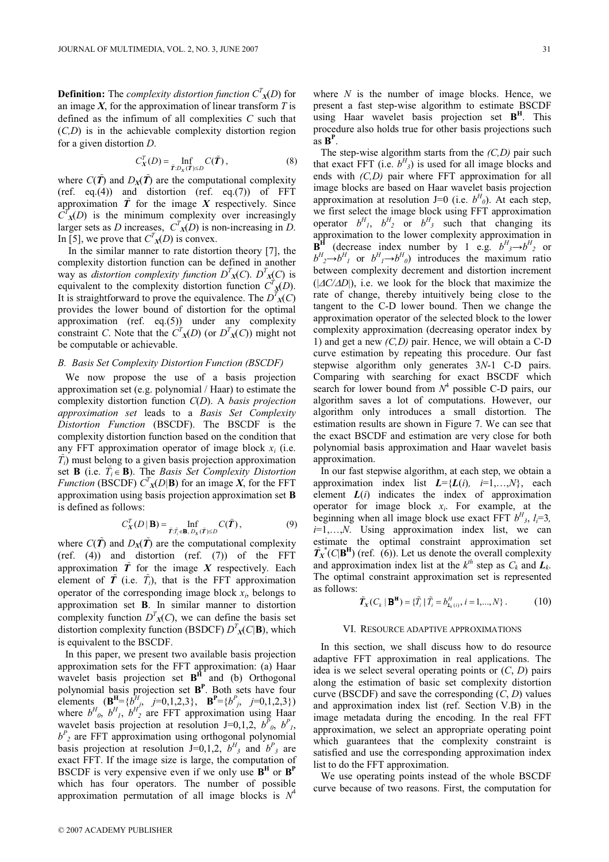**Definition:** The *complexity distortion function*  $C<sup>T</sup><sub>X</sub>(D)$  for an image  $X$ , for the approximation of linear transform  $T$  is defined as the infimum of all complexities C such that  $(C,D)$  is in the achievable complexity distortion region for a given distortion D.

$$
C_X^T(D) = \inf_{\tilde{T}:D_X(\tilde{T}) \le D} C(\tilde{T}),
$$
\n(8)

where  $C(\tilde{T})$  and  $D_X(\tilde{T})$  are the computational complexity (ref. eq.(4)) and distortion (ref. eq.(7)) of  $FFT$ approximation  $T$  for the image  $X$  respectively. Since  $\overline{C}^T$ <sub>X</sub>(D) is the minimum complexity over increasingly larger sets as *D* increases,  $C^T_{X}(D)$  is non-increasing in *D*. In [5], we prove that  $C<sup>T</sup><sub>X</sub>(D)$  is convex.

In the similar manner to rate distortion theory [7], the complexity distortion function can be defined in another way as distortion complexity function  $D<sup>T</sup><sub>X</sub>(C)$ .  $D<sup>T</sup><sub>X</sub>(C)$  is equivalent to the complexity distortion function  $C<sup>T</sup><sub>X</sub>(D)$ . It is straightforward to prove the equivalence. The  $D^{T}$ <sub>X</sub>(C) provides the lower bound of distortion for the optimal approximation (ref. eq. $(5)$ ) under any complexity constraint C. Note that the  $C^{T}$ <sub>X</sub>(*D*) (or  $D^{T}$ <sub>X</sub>(*C*)) might not be computable or achievable.

# B. Basis Set Complexity Distortion Function (BSCDF)

We now propose the use of a basis projection approximation set (e.g. polynomial / Haar) to estimate the complexity distortion function  $C(D)$ . A basis projection approximation set leads to a Basis Set Complexity Distortion Function (BSCDF). The BSCDF is the complexity distortion function based on the condition that any FFT approximation operator of image block  $x_i$  (i.e.  $T_i$ ) must belong to a given basis projection approximation set **B** (i.e.  $\overline{T}_i \in \mathbf{B}$ ). The *Basis Set Complexity Distortion Function* (BSCDF)  $C^T_X(D|\mathbf{B})$  for an image X, for the FFT approximation using basis projection approximation set B is defined as follows:

$$
C_X^T(D \mid \mathbf{B}) = \inf_{\tilde{T} : \tilde{T}_i \in \mathbf{B}, \ D_X(\tilde{T}) \le D} C(\tilde{T}), \tag{9}
$$

where  $C(\tilde{T})$  and  $D_X(\tilde{T})$  are the computational complexity (ref. (4)) and distortion (ref. (7)) of the FFT approximation  $\tilde{T}$  for the image X respectively. Each element of  $\tilde{T}$  (i.e.  $\tilde{T}_i$ ), that is the FFT approximation operator of the corresponding image block  $x_i$ , belongs to approximation set B. In similar manner to distortion complexity function  $D^{T}_{\mathcal{X}}(C)$ , we can define the basis set distortion complexity function (BSDCF)  $D^T_{X}(C|\mathbf{B})$ , which is equivalent to the BSCDF.

In this paper, we present two available basis projection approximation sets for the FFT approximation: (a) Haar wavelet basis projection set  $B<sup>H</sup>$  and (b) Orthogonal polynomial basis projection set  $B<sup>P</sup>$ . Both sets have four elements  $(\mathbf{B}^{\text{H}} = \{b^H_{j}, j=0,1,2,3\}, \mathbf{B}^{\text{P}} = \{b^P_{j}, j=0,1,2,3\})$ where  $b^H$ <sub>0</sub>,  $b^H$ <sub>1</sub>,  $b^H$ <sub>2</sub> are FFT approximation using Haar wavelet basis projection at resolution J=0,1,2,  $b^{\bar{P}}_{0}$ ,  $b^P_{1}$ ,  $b<sup>P</sup>$ <sub>2</sub> are FFT approximation using orthogonal polynomial basis projection at resolution J=0,1,2,  $b^H$ <sub>3</sub> and  $b^P$ <sub>3</sub> are exact FFT. If the image size is large, the computation of BSCDF is very expensive even if we only use  $B<sup>H</sup>$  or  $B<sup>P</sup>$ which has four operators. The number of possible approximation permutation of all image blocks is  $N^4$ 

where  $N$  is the number of image blocks. Hence, we present a fast step-wise algorithm to estimate BSCDF using Haar wavelet basis projection set  $B<sup>H</sup>$ . This procedure also holds true for other basis projections such  $\overline{a}$ s  $\overline{B}^P$ .

The step-wise algorithm starts from the  $(C,D)$  pair such that exact FFT (i.e.  $b^H_{3}$ ) is used for all image blocks and ends with (C,D) pair where FFT approximation for all image blocks are based on Haar wavelet basis projection approximation at resolution J=0 (i.e.  $b^H$ <sub>0</sub>). At each step, we first select the image block using FFT approximation operator  $b^H_1$ ,  $b^H_2$  or  $b^H_3$  such that changing its approximation to the lower complexity approximation in **B<sup>H</sup>** (decrease index number by 1 e.g.  $b^H$ <sub>3</sub> $\rightarrow b^H$ <sub>2</sub> or  $b^H_1 \rightarrow b^H_1$  or  $b^H_1 \rightarrow b^H_0$ ) introduces the maximum ratio between complexity decrement and distortion increment  $(|\Delta C/\Delta D|)$ , i.e. we look for the block that maximize the rate of change, thereby intuitively being close to the tangent to the C-D lower bound. Then we change the approximation operator of the selected block to the lower complexity approximation (decreasing operator index by 1) and get a new  $(C,D)$  pair. Hence, we will obtain a C-D curve estimation by repeating this procedure. Our fast stepwise algorithm only generates 3N-1 C-D pairs. Comparing with searching for exact BSCDF which search for lower bound from  $N^4$  possible C-D pairs, our algorithm saves a lot of computations. However, our algorithm only introduces a small distortion. The estimation results are shown in Figure 7. We can see that the exact BSCDF and estimation are very close for both polynomial basis approximation and Haar wavelet basis approximation.

In our fast stepwise algorithm, at each step, we obtain a approximation index list  $L = \{L(i), i=1,...,N\}$ , each element  $L(i)$  indicates the index of approximation operator for image block  $x_i$ . For example, at the beginning when all image block use exact FFT  $b^H$ <sub>3</sub>,  $l_i=3$ ,  $i=1,...,N$ . Using approximation index list, we can estimate the optimal constraint approximation set  $\tilde{T}_X^*(C|\mathbf{B}^{\mathbf{H}})$  (ref. (6)). Let us denote the overall complexity and approximation index list at the  $k^{th}$  step as  $C_k$  and  $L_k$ . The optimal constraint approximation set is represented as follows:

$$
\tilde{T}_X(C_k | \mathbf{B}^{\mathbf{H}}) = \{ \tilde{T}_i | \tilde{T}_i = b_{L_k(i)}^H, i = 1, ..., N \}.
$$
 (10)

#### VI. RESOURCE ADAPTIVE APPROXIMATIONS

In this section, we shall discuss how to do resource adaptive FFT approximation in real applications. The idea is we select several operating points or  $(C, D)$  pairs along the estimation of basic set complexity distortion curve (BSCDF) and save the corresponding  $(C, D)$  values and approximation index list (ref. Section V.B) in the image metadata during the encoding. In the real FFT approximation, we select an appropriate operating point which guarantees that the complexity constraint is satisfied and use the corresponding approximation index list to do the FFT approximation.

We use operating points instead of the whole BSCDF curve because of two reasons. First, the computation for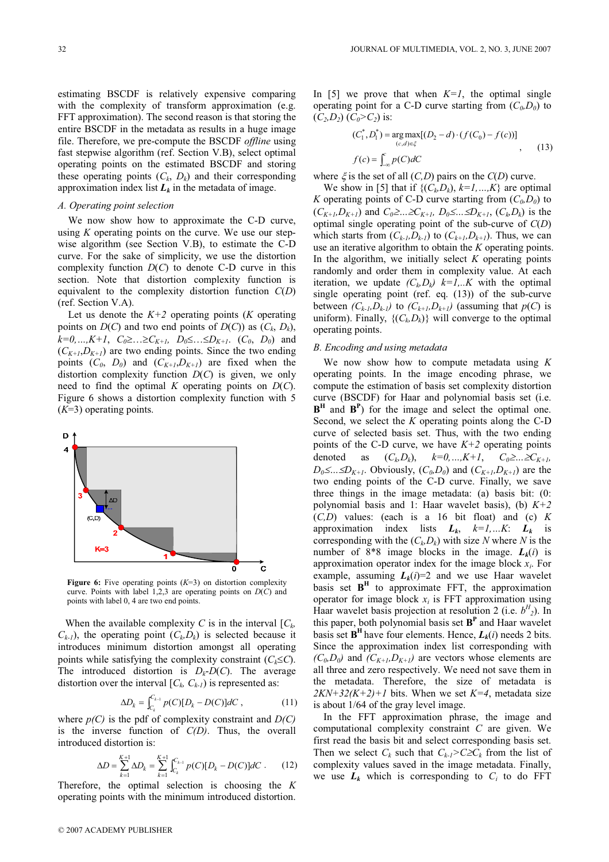estimating BSCDF is relatively expensive comparing with the complexity of transform approximation (e.g. FFT approximation). The second reason is that storing the entire BSCDF in the metadata as results in a huge image file. Therefore, we pre-compute the BSCDF offline using fast stepwise algorithm (ref. Section V.B), select optimal operating points on the estimated BSCDF and storing these operating points  $(C_k, D_k)$  and their corresponding approximation index list  $L_k$  in the metadata of image.

## A. Operating point selection

We now show how to approximate the C-D curve, using  $K$  operating points on the curve. We use our stepwise algorithm (see Section V.B), to estimate the C-D curve. For the sake of simplicity, we use the distortion complexity function  $D(C)$  to denote C-D curve in this section. Note that distortion complexity function is equivalent to the complexity distortion function  $C(D)$ (ref. Section V.A).

Let us denote the  $K+2$  operating points (K operating points on  $D(C)$  and two end points of  $D(C)$ ) as  $(C_k, D_k)$ ,  $k=0,...,K+1$ ,  $C_0 \geq ... \geq C_{K+1}$ ,  $D_0 \leq ... \leq D_{K+1}$ .  $(C_0, D_0)$  and  $(C_{K+1},D_{K+1})$  are two ending points. Since the two ending points  $(C_0, D_0)$  and  $(C_{K+1}, D_{K+1})$  are fixed when the distortion complexity function  $D(C)$  is given, we only need to find the optimal  $K$  operating points on  $D(C)$ . Figure 6 shows a distortion complexity function with 5  $(K=3)$  operating points.



Figure 6: Five operating points  $(K=3)$  on distortion complexity curve. Points with label 1,2,3 are operating points on  $D(C)$  and points with label 0, 4 are two end points.

When the available complexity C is in the interval  $[C_k, \cdot]$  $(C_{k-1})$ , the operating point  $(C_k, D_k)$  is selected because it introduces minimum distortion amongst all operating points while satisfying the complexity constraint  $(C_k \leq C)$ . The introduced distortion is  $D_k-D(C)$ . The average distortion over the interval  $[C_k, C_{k-1}]$  is represented as:

$$
\Delta D_k = \int_{C_k}^{C_{k-1}} p(C)[D_k - D(C)]dC , \qquad (11)
$$

where  $p(C)$  is the pdf of complexity constraint and  $D(C)$ is the inverse function of  $C(D)$ . Thus, the overall introduced distortion is:

$$
\Delta D = \sum_{k=1}^{K+1} \Delta D_k = \sum_{k=1}^{K+1} \int_{C_k}^{C_{k-1}} p(C) [D_k - D(C)] dC \tag{12}
$$

Therefore, the optimal selection is choosing the  $K$ operating points with the minimum introduced distortion.

$$
(C_1^*, D_1^*) = \underset{(c,d) \in \xi}{\arg \max} [(D_2 - d) \cdot (f(C_0) - f(c))]
$$
  

$$
f(c) = \int_{-\infty}^c p(C) dC
$$
 (13)

where  $\xi$  is the set of all  $(C,D)$  pairs on the  $C(D)$  curve.

We show in [5] that if  $\{(C_k, D_k), k=1, ..., K\}$  are optimal K operating points of C-D curve starting from  $(C_0, D_0)$  to  $(C_{K+1}, D_{K+1})$  and  $C_0 \geq ... \geq C_{K+1}$ ,  $D_0 \leq ... \leq D_{K+1}$ ,  $(C_k, D_k)$  is the optimal single operating point of the sub-curve of  $C(D)$ which starts from  $(C_{k-l}, D_{k-l})$  to  $(C_{k+l}, D_{k+l})$ . Thus, we can use an iterative algorithm to obtain the K operating points. In the algorithm, we initially select  $K$  operating points randomly and order them in complexity value. At each iteration, we update  $(C_k, D_k)$   $k=1,...K$  with the optimal single operating point (ref. eq. (13)) of the sub-curve between  $(C_{k-l}, D_{k-l})$  to  $(C_{k+l}, D_{k+l})$  (assuming that  $p(C)$  is uniform). Finally,  $\{(C_k, D_k)\}\$  will converge to the optimal operating points.

## B. Encoding and using metadata

We now show how to compute metadata using  $K$ operating points. In the image encoding phrase, we compute the estimation of basis set complexity distortion curve (BSCDF) for Haar and polynomial basis set (i.e.  $B<sup>H</sup>$  and  $B<sup>P</sup>$ ) for the image and select the optimal one. Second, we select the  $K$  operating points along the C-D curve of selected basis set. Thus, with the two ending points of the C-D curve, we have  $K+2$  operating points denoted as  $(C_k, D_k)$ ,  $k=0, ..., K+1$ ,  $C_0 \geq ... \geq C_{K+1}$ ,  $D_0 \leq ... \leq D_{K+1}$ . Obviously,  $(C_0, D_0)$  and  $(C_{K+1}, D_{K+1})$  are the two ending points of the C-D curve. Finally, we save three things in the image metadata: (a) basis bit: (0: polynomial basis and 1: Haar wavelet basis), (b)  $K+2$  $(C,D)$  values: (each is a 16 bit float) and (c) K approximation index lists  $L_k$ ,  $k=1,...K$ :  $L_k$  is corresponding with the  $(C_k, D_k)$  with size N where N is the number of 8\*8 image blocks in the image.  $L_k(i)$  is approximation operator index for the image block  $x_i$ . For example, assuming  $L_k(i)=2$  and we use Haar wavelet basis set  $B<sup>H</sup>$  to approximate FFT, the approximation operator for image block  $x_i$  is FFT approximation using Haar wavelet basis projection at resolution 2 (i.e.  $b^H_{2}$ ). In this paper, both polynomial basis set  $B<sup>P</sup>$  and Haar wavelet basis set  $B<sup>H</sup>$  have four elements. Hence,  $L<sub>k</sub>(i)$  needs 2 bits. Since the approximation index list corresponding with  $(C_0, D_0)$  and  $(C_{K+1}, D_{K+1})$  are vectors whose elements are all three and zero respectively. We need not save them in the metadata. Therefore, the size of metadata is  $2KN+32(K+2)+1$  bits. When we set  $K=4$ , metadata size is about 1/64 of the gray level image.

In the FFT approximation phrase, the image and computational complexity constraint C are given. We first read the basis bit and select corresponding basis set. Then we select  $C_k$  such that  $C_{k-1} > C \geq C_k$  from the list of complexity values saved in the image metadata. Finally, we use  $L_k$  which is corresponding to  $C_i$  to do FFT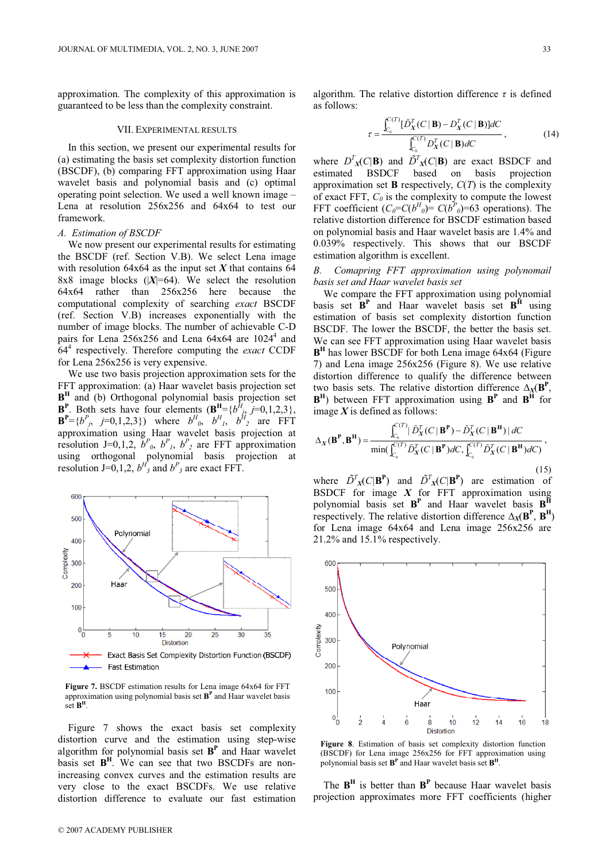approximation. The complexity of this approximation is guaranteed to be less than the complexity constraint.

# VII. EXPERIMENTAL RESULTS

In this section, we present our experimental results for (a) estimating the basis set complexity distortion function (BSCDF), (b) comparing FFT approximation using Haar wavelet basis and polynomial basis and (c) optimal operating point selection. We used a well known image – Lena at resolution 256x256 and 64x64 to test our framework.

#### A. Estimation of BSCDF

We now present our experimental results for estimating the BSCDF (ref. Section V.B). We select Lena image with resolution 64x64 as the input set  $X$  that contains 64 8x8 image blocks  $(|X|=64)$ . We select the resolution 64x64 rather than 256x256 here because the computational complexity of searching exact BSCDF (ref. Section V.B) increases exponentially with the number of image blocks. The number of achievable C-D pairs for Lena  $256x256$  and Lena  $64x64$  are  $1024<sup>4</sup>$  and  $64<sup>4</sup>$  respectively. Therefore computing the *exact* CCDF for Lena 256x256 is very expensive.

We use two basis projection approximation sets for the FFT approximation: (a) Haar wavelet basis projection set  $B<sup>H</sup>$  and (b) Orthogonal polynomial basis projection set  $\mathbf{B}^{\text{P}}$ . Both sets have four elements  $(\mathbf{B}^{\text{H}} = \{b^H_{j}, j=0,1,2,3\},\)$  $\mathbf{B}^{\text{P}} = \{b^P_{j}, j=0,1,2,3\}$  where  $b^H_{0}, b^H_{1}, b^H_{2}$  are FFT approximation using Haar wavelet basis projection at resolution J=0,1,2,  $b^P$ <sub>0</sub>,  $b^P$ <sub>1</sub>,  $b^P$ <sub>2</sub> are FFT approximation using orthogonal polynomial basis projection at resolution J=0,1,2,  $b^H$ <sub>3</sub> and  $b^P$ <sub>3</sub> are exact FFT.



Figure 7. BSCDF estimation results for Lena image 64x64 for FFT approximation using polynomial basis set  $B<sup>P</sup>$  and Haar wavelet basis set  $B<sup>H</sup>$ 

Figure 7 shows the exact basis set complexity distortion curve and the estimation using step-wise algorithm for polynomial basis set  $B<sup>P</sup>$  and Haar wavelet basis set  $B<sup>H</sup>$ . We can see that two BSCDFs are nonincreasing convex curves and the estimation results are very close to the exact BSCDFs. We use relative distortion difference to evaluate our fast estimation

algorithm. The relative distortion difference  $\tau$  is defined as follows:

$$
\tau = \frac{\int_{C_0}^{C(T)} [\tilde{D}_X^T(C \mid \mathbf{B}) - D_X^T(C \mid \mathbf{B})] dC}{\int_{C_0}^{C(T)} D_X^T(C \mid \mathbf{B}) dC},
$$
\n(14)

where  $D^{T}_{\mathbf{X}}(C|\mathbf{B})$  and  $\tilde{D}^{T}_{\mathbf{X}}(C|\mathbf{B})$  are exact BSDCF and estimated BSDCF based on basis projection approximation set **B** respectively,  $C(T)$  is the complexity of exact FFT,  $C_0$  is the complexity to compute the lowest FFT coefficient  $(C_0=C(b^H)_0) = C(b^P)_0 = 63$  operations). The relative distortion difference for BSCDF estimation based on polynomial basis and Haar wavelet basis are 1.4% and 0.039% respectively. This shows that our BSCDF estimation algorithm is excellent.

# B. Comapring FFT approximation using polynomail basis set and Haar wavelet basis set

We compare the FFT approximation using polynomial basis set  $B^P$  and Haar wavelet basis set  $B^H$  using estimation of basis set complexity distortion function BSCDF. The lower the BSCDF, the better the basis set. We can see FFT approximation using Haar wavelet basis  $B<sup>H</sup>$  has lower BSCDF for both Lena image 64x64 (Figure 7) and Lena image 256x256 (Figure 8). We use relative distortion difference to qualify the difference between two basis sets. The relative distortion difference  $\Delta_X(\textbf{B}^{\textbf{P}},$  $\mathbf{B}^{\mathrm{H}}$ ) between FFT approximation using  $\mathbf{B}^{\mathrm{P}}$  and  $\mathbf{B}^{\mathrm{H}}$  for image  $X$  is defined as follows:

$$
\Delta_X(\mathbf{B}^{\mathbf{P}}, \mathbf{B}^{\mathbf{H}}) = \frac{\int_{C_0}^{C(T)} |\tilde{D}_X^T(C | \mathbf{B}^{\mathbf{P}}) - \tilde{D}_X^T(C | \mathbf{B}^{\mathbf{H}})| dC}{\min(\int_{C_0}^{C(T)} \tilde{D}_X^T(C | \mathbf{B}^{\mathbf{P}}) dC, \int_{C_0}^{C(T)} \tilde{D}_X^T(C | \mathbf{B}^{\mathbf{H}}) dC)},
$$
\n(15)

where  $\tilde{D}^T_{X}(C|\mathbf{B}^{\mathbf{P}})$  and  $\tilde{D}^T_{X}(C|\mathbf{B}^{\mathbf{P}})$  are estimation of BSDCF for image  $X$  for FFT approximation using polynomial basis set  $B^P$  and Haar wavelet basis  $B^{\bar{H}}$ respectively. The relative distortion difference  $\Delta_X(\textbf{B}^{\textbf{P}}, \textbf{B}^{\textbf{H}})$ for Lena image 64x64 and Lena image 256x256 are 21.2% and 15.1% respectively.



Figure 8. Estimation of basis set complexity distortion function (BSCDF) for Lena image 256x256 for FFT approximation using polynomial basis set  $\mathbf{B}^{\text{P}}$  and Haar wavelet basis set  $\mathbf{B}^{\text{H}}$ .

The  $B<sup>H</sup>$  is better than  $B<sup>P</sup>$  because Haar wavelet basis projection approximates more FFT coefficients (higher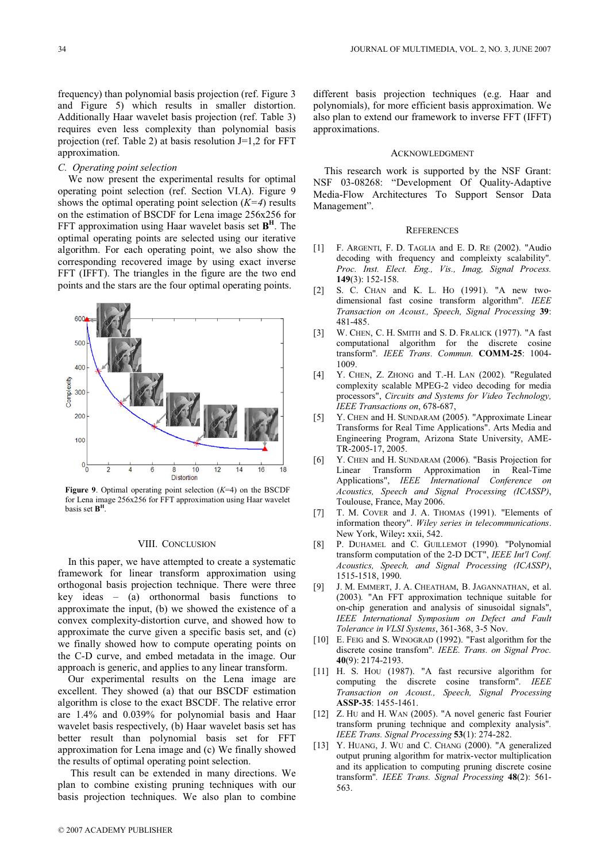frequency) than polynomial basis projection (ref. Figure 3 and Figure 5) which results in smaller distortion. Additionally Haar wavelet basis projection (ref. Table 3) requires even less complexity than polynomial basis projection (ref. Table 2) at basis resolution  $J=1,2$  for FFT approximation.

# C. Operating point selection

We now present the experimental results for optimal operating point selection (ref. Section VI.A). Figure 9 shows the optimal operating point selection  $(K=4)$  results on the estimation of BSCDF for Lena image 256x256 for FFT approximation using Haar wavelet basis set  $B<sup>H</sup>$ . The optimal operating points are selected using our iterative algorithm. For each operating point, we also show the corresponding recovered image by using exact inverse FFT (IFFT). The triangles in the figure are the two end points and the stars are the four optimal operating points.



Figure 9. Optimal operating point selection  $(K=4)$  on the BSCDF for Lena image 256x256 for FFT approximation using Haar wavelet basis set  $B<sup>H</sup>$ .

# VIII. CONCLUSION

In this paper, we have attempted to create a systematic framework for linear transform approximation using orthogonal basis projection technique. There were three key ideas – (a) orthonormal basis functions to approximate the input, (b) we showed the existence of a convex complexity-distortion curve, and showed how to approximate the curve given a specific basis set, and (c) we finally showed how to compute operating points on the C-D curve, and embed metadata in the image. Our approach is generic, and applies to any linear transform.

Our experimental results on the Lena image are excellent. They showed (a) that our BSCDF estimation algorithm is close to the exact BSCDF. The relative error are 1.4% and 0.039% for polynomial basis and Haar wavelet basis respectively, (b) Haar wavelet basis set has better result than polynomial basis set for FFT approximation for Lena image and (c) We finally showed the results of optimal operating point selection.

 This result can be extended in many directions. We plan to combine existing pruning techniques with our basis projection techniques. We also plan to combine different basis projection techniques (e.g. Haar and polynomials), for more efficient basis approximation. We also plan to extend our framework to inverse FFT (IFFT) approximations.

## ACKNOWLEDGMENT

This research work is supported by the NSF Grant: NSF 03-08268: "Development Of Quality-Adaptive Media-Flow Architectures To Support Sensor Data Management".

#### **REFERENCES**

- [1] F. ARGENTI, F. D. TAGLIA and E. D. RE (2002). "Audio decoding with frequency and compleixty scalability". Proc. Inst. Elect. Eng., Vis., Imag, Signal Process. 149(3): 152-158.
- [2] S. C. CHAN and K. L. HO (1991). "A new twodimensional fast cosine transform algorithm". IEEE Transaction on Acoust., Speech, Signal Processing 39: 481-485.
- [3] W. CHEN, C. H. SMITH and S. D. FRALICK (1977). "A fast computational algorithm for the discrete cosine transform". IEEE Trans. Commun. COMM-25: 1004- 1009.
- [4] Y. CHEN, Z. ZHONG and T.-H. LAN (2002). "Regulated complexity scalable MPEG-2 video decoding for media processors", Circuits and Systems for Video Technology, IEEE Transactions on, 678-687,
- [5] Y. CHEN and H. SUNDARAM (2005). "Approximate Linear Transforms for Real Time Applications". Arts Media and Engineering Program, Arizona State University, AME-TR-2005-17, 2005.
- [6] Y. CHEN and H. SUNDARAM (2006). "Basis Projection for Linear Transform Approximation in Real-Time Applications", IEEE International Conference on Acoustics, Speech and Signal Processing (ICASSP), Toulouse, France, May 2006.
- [7] T. M. COVER and J. A. THOMAS (1991). "Elements of information theory". Wiley series in telecommunications. New York, Wiley: xxii, 542.
- [8] P. DUHAMEL and C. GUILLEMOT (1990). "Polynomial transform computation of the 2-D DCT", IEEE Int'l Conf. Acoustics, Speech, and Signal Processing (ICASSP), 1515-1518, 1990.
- [9] J. M. EMMERT, J. A. CHEATHAM, B. JAGANNATHAN, et al. (2003). "An FFT approximation technique suitable for on-chip generation and analysis of sinusoidal signals", IEEE International Symposium on Defect and Fault Tolerance in VLSI Systems, 361-368, 3-5 Nov.
- [10] E. Felg and S. WINOGRAD (1992). "Fast algorithm for the discrete cosine transfom". IEEE. Trans. on Signal Proc. 40(9): 2174-2193.
- [11] H. S. Hou (1987). "A fast recursive algorithm for computing the discrete cosine transform". IEEE Transaction on Acoust., Speech, Signal Processing ASSP-35: 1455-1461.
- [12] Z. Hu and H. WAN (2005). "A novel generic fast Fourier transform pruning technique and complexity analysis". IEEE Trans. Signal Processing 53(1): 274-282.
- [13] Y. HUANG, J. WU and C. CHANG (2000). "A generalized output pruning algorithm for matrix-vector multiplication and its application to computing pruning discrete cosine transform". IEEE Trans. Signal Processing 48(2): 561- 563.